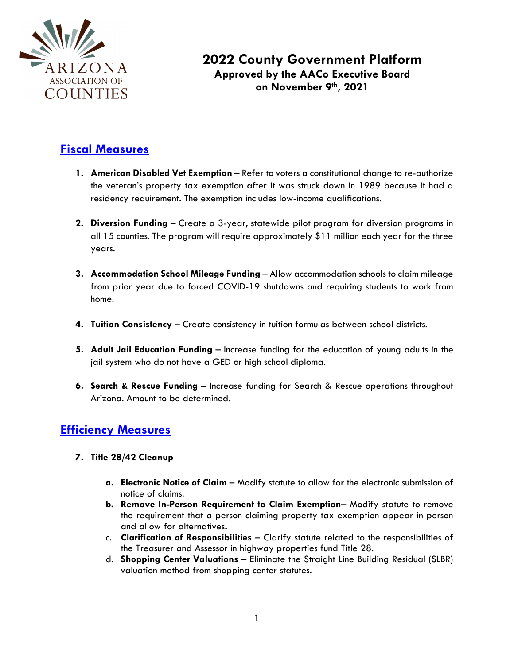

## **2022 County Government Platform Approved by the AACo Executive Board on November 9th, 2021**

## **Fiscal Measures**

- **1. American Disabled Vet Exemption**  Refer to voters a constitutional change to re-authorize the veteran's property tax exemption after it was struck down in 1989 because it had a residency requirement. The exemption includes low-income qualifications.
- **2. Diversion Funding** Create a 3-year, statewide pilot program for diversion programs in all 15 counties. The program will require approximately \$11 million each year for the three years.
- **3. Accommodation School Mileage Funding**  Allow accommodation schools to claim mileage from prior year due to forced COVID-19 shutdowns and requiring students to work from home.
- **4. Tuition Consistency** Create consistency in tuition formulas between school districts.
- **5. Adult Jail Education Funding**  Increase funding for the education of young adults in the jail system who do not have a GED or high school diploma.
- **6. Search & Rescue Funding** Increase funding for Search & Rescue operations throughout Arizona. Amount to be determined.

## **Efficiency Measures**

- **7. Title 28/42 Cleanup** 
	- **a. Electronic Notice of Claim**  Modify statute to allow for the electronic submission of notice of claims.
	- **b. Remove In-Person Requirement to Claim Exemption** Modify statute to remove the requirement that a person claiming property tax exemption appear in person and allow for alternatives**.**
	- c. **Clarification of Responsibilities**  Clarify statute related to the responsibilities of the Treasurer and Assessor in highway properties fund Title 28.
	- d. **Shopping Center Valuations** Eliminate the Straight Line Building Residual (SLBR) valuation method from shopping center statutes.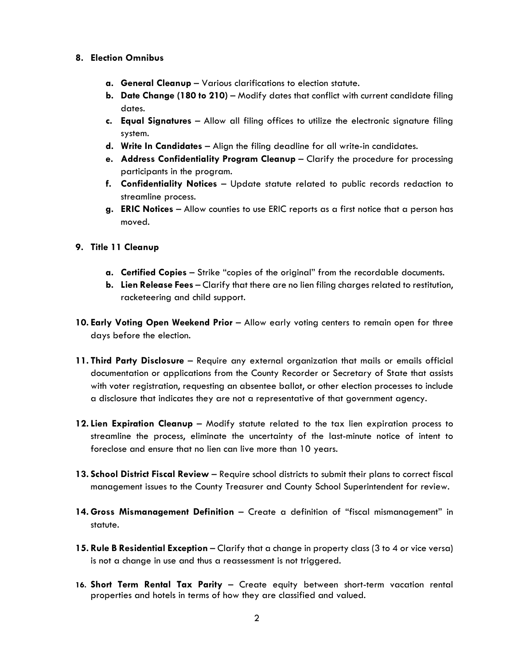- **8. Election Omnibus**
	- **a. General Cleanup**  Various clarifications to election statute.
	- **b. Date Change (180 to 210)**  Modify dates that conflict with current candidate filing dates.
	- **c. Equal Signatures**  Allow all filing offices to utilize the electronic signature filing system.
	- **d. Write In Candidates**  Align the filing deadline for all write-in candidates.
	- **e. Address Confidentiality Program Cleanup**  Clarify the procedure for processing participants in the program.
	- **f. Confidentiality Notices**  Update statute related to public records redaction to streamline process.
	- **g. ERIC Notices**  Allow counties to use ERIC reports as a first notice that a person has moved.
- **9. Title 11 Cleanup**
	- **a. Certified Copies**  Strike "copies of the original" from the recordable documents.
	- **b. Lien Release Fees**  Clarify that there are no lien filing charges related to restitution, racketeering and child support.
- **10. Early Voting Open Weekend Prior** Allow early voting centers to remain open for three days before the election.
- **11. Third Party Disclosure** Require any external organization that mails or emails official documentation or applications from the County Recorder or Secretary of State that assists with voter registration, requesting an absentee ballot, or other election processes to include a disclosure that indicates they are not a representative of that government agency.
- **12. Lien Expiration Cleanup** Modify statute related to the tax lien expiration process to streamline the process, eliminate the uncertainty of the last-minute notice of intent to foreclose and ensure that no lien can live more than 10 years.
- **13. School District Fiscal Review**  Require school districts to submit their plans to correct fiscal management issues to the County Treasurer and County School Superintendent for review.
- **14. Gross Mismanagement Definition** Create a definition of "fiscal mismanagement" in statute.
- **15. Rule B Residential Exception** Clarify that a change in property class (3 to 4 or vice versa) is not a change in use and thus a reassessment is not triggered.
- **16. Short Term Rental Tax Parity** Create equity between short-term vacation rental properties and hotels in terms of how they are classified and valued.